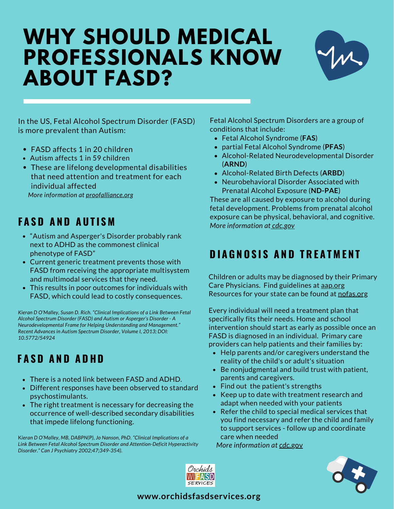# **WHY SHOULD MEDICAL PROFESSIONALS KNOW ABOUT FASD?**



In the US, Fetal Alcohol Spectrum Disorder (FASD) is more prevalent than Autism:

- FASD affects 1 in 20 children
- Autism affects 1 in 59 children
- These are lifelong developmental disabilities that need attention and treatment for each individual affected

*More information at [proofalliance.org](https://www.proofalliance.org/about-fasd/factsheets/)*

#### **F A S D A N D A U T I S M**

- "Autism and Asperger's Disorder probably rank next to ADHD as the commonest clinical phenotype of FASD"
- Current generic treatment prevents those with FASD from receiving the appropriate multisystem and multimodal services that they need.
- This results in poor outcomes for individuals with FASD, which could lead to costly consequences.

*Kieran D O'Malley, Susan D. Rich. "Clinical Implications of a Link Between Fetal Alcohol Spectrum Disorder (FASD) and Autism or Asperger's Disorder - A Neurodevelopmental Frame for Helping Understanding and Management." Recent Advances in Autism Spectrum Disorder, Volume I, 2013; DOI: 10.5772/54924*

## **F A S D A N D A D H D**

- There is a noted link between FASD and ADHD.
- Different responses have been observed to standard psychostimulants.
- The right treatment is necessary for decreasing the occurrence of well-described secondary disabilities that impede lifelong functioning.

K*ieran D O'Malley, MB, DABPN(P), Jo Nanson, PhD. "Clinical Implications of a Link Between Fetal Alcohol Spectrum Disorder and Attention-Deficit Hyperactivity Disorder." Can J Psychiatry 2002;47;349-354).*

Fetal Alcohol Spectrum Disorders are a group of conditions that include:

- Fetal Alcohol Syndrome (**FAS**)
- partial Fetal Alcohol Syndrome (**PFAS**)
- Alcohol-Related Neurodevelopmental Disorder (**ARND**)
- Alcohol-Related Birth Defects (**ARBD**)
- Neurobehavioral Disorder Associated with Prenatal Alcohol Exposure (**ND-PAE**)

These are all caused by exposure to alcohol during fetal development. Problems from prenatal alcohol exposure can be physical, behavioral, and cognitive. *More information at [cdc.gov](https://www.cdc.gov/ncbddd/fasd/facts.html#:~:text=Fetal%20alcohol%20spectrum%20disorders%20(FASDs)%20are%20a%20group%20of%20conditions,a%20mix%20of%20these%20problems.)*

## **DIAGNOSIS AND TREATMENT**

Children or adults may be diagnosed by their Primary Care Physicians. Find guidelines at [aap.org](https://www.aap.org/en-us/advocacy-and-policy/aap-health-initiatives/fetal-alcohol-spectrum-disorders-toolkit/Pages/Identification.aspx) Resources for your state can be found at [nofas.org](https://www.nofas.org/resource-directory/)

Every individual will need a treatment plan that specifically fits their needs. Home and school intervention should start as early as possible once an FASD is diagnosed in an individual. Primary care providers can help patients and their families by:

- Help parents and/or caregivers understand the reality of the child's or adult's situation
- Be nonjudgmental and build trust with patient, parents and caregivers.
- Find out the patient's strengths
- Keep up to date with treatment research and adapt when needed with your patients
- Refer the child to special medical services that you find necessary and refer the child and family to support services - follow up and coordinate care when needed

*More information at [cdc.](https://nccd.cdc.gov/FASD/)*gov



#### **www.orchidsfasdservices.org**

Orchids WI)FASD **SERVICES**